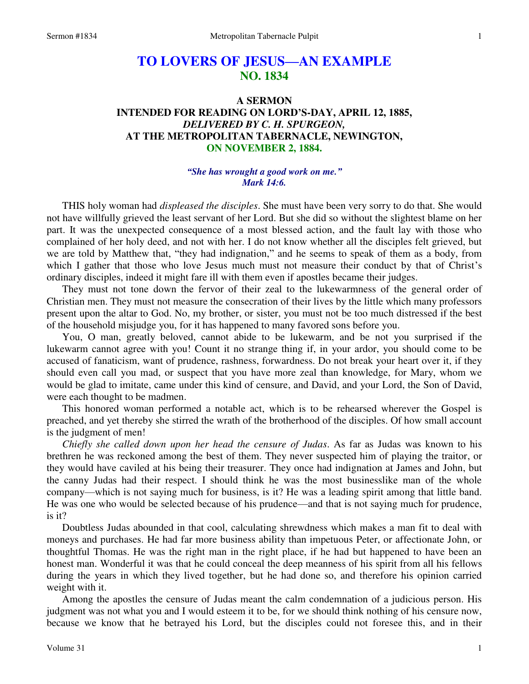# **TO LOVERS OF JESUS—AN EXAMPLE NO. 1834**

## **A SERMON INTENDED FOR READING ON LORD'S-DAY, APRIL 12, 1885,**  *DELIVERED BY C. H. SPURGEON,*  **AT THE METROPOLITAN TABERNACLE, NEWINGTON, ON NOVEMBER 2, 1884.**

#### *"She has wrought a good work on me." Mark 14:6.*

THIS holy woman had *displeased the disciples*. She must have been very sorry to do that. She would not have willfully grieved the least servant of her Lord. But she did so without the slightest blame on her part. It was the unexpected consequence of a most blessed action, and the fault lay with those who complained of her holy deed, and not with her. I do not know whether all the disciples felt grieved, but we are told by Matthew that, "they had indignation," and he seems to speak of them as a body, from which I gather that those who love Jesus much must not measure their conduct by that of Christ's ordinary disciples, indeed it might fare ill with them even if apostles became their judges.

 They must not tone down the fervor of their zeal to the lukewarmness of the general order of Christian men. They must not measure the consecration of their lives by the little which many professors present upon the altar to God. No, my brother, or sister, you must not be too much distressed if the best of the household misjudge you, for it has happened to many favored sons before you.

 You, O man, greatly beloved, cannot abide to be lukewarm, and be not you surprised if the lukewarm cannot agree with you! Count it no strange thing if, in your ardor, you should come to be accused of fanaticism, want of prudence, rashness, forwardness. Do not break your heart over it, if they should even call you mad, or suspect that you have more zeal than knowledge, for Mary, whom we would be glad to imitate, came under this kind of censure, and David, and your Lord, the Son of David, were each thought to be madmen.

 This honored woman performed a notable act, which is to be rehearsed wherever the Gospel is preached, and yet thereby she stirred the wrath of the brotherhood of the disciples. Of how small account is the judgment of men!

*Chiefly she called down upon her head the censure of Judas*. As far as Judas was known to his brethren he was reckoned among the best of them. They never suspected him of playing the traitor, or they would have caviled at his being their treasurer. They once had indignation at James and John, but the canny Judas had their respect. I should think he was the most businesslike man of the whole company—which is not saying much for business, is it? He was a leading spirit among that little band. He was one who would be selected because of his prudence—and that is not saying much for prudence, is it?

 Doubtless Judas abounded in that cool, calculating shrewdness which makes a man fit to deal with moneys and purchases. He had far more business ability than impetuous Peter, or affectionate John, or thoughtful Thomas. He was the right man in the right place, if he had but happened to have been an honest man. Wonderful it was that he could conceal the deep meanness of his spirit from all his fellows during the years in which they lived together, but he had done so, and therefore his opinion carried weight with it.

 Among the apostles the censure of Judas meant the calm condemnation of a judicious person. His judgment was not what you and I would esteem it to be, for we should think nothing of his censure now, because we know that he betrayed his Lord, but the disciples could not foresee this, and in their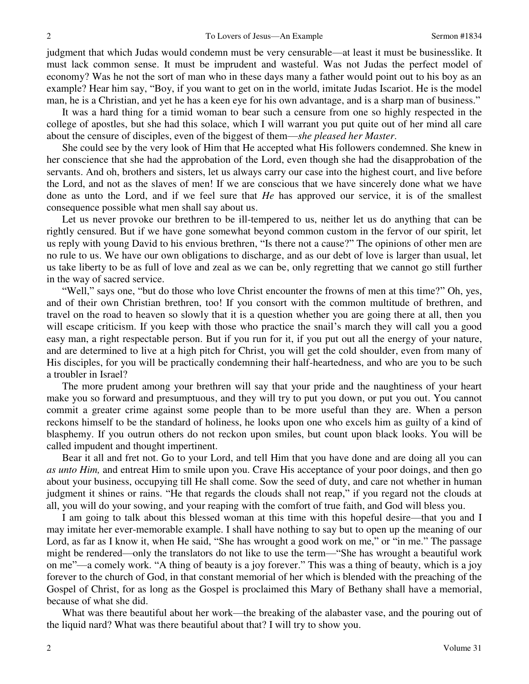judgment that which Judas would condemn must be very censurable—at least it must be businesslike. It must lack common sense. It must be imprudent and wasteful. Was not Judas the perfect model of economy? Was he not the sort of man who in these days many a father would point out to his boy as an example? Hear him say, "Boy, if you want to get on in the world, imitate Judas Iscariot. He is the model man, he is a Christian, and yet he has a keen eye for his own advantage, and is a sharp man of business."

 It was a hard thing for a timid woman to bear such a censure from one so highly respected in the college of apostles, but she had this solace, which I will warrant you put quite out of her mind all care about the censure of disciples, even of the biggest of them—*she pleased her Master*.

 She could see by the very look of Him that He accepted what His followers condemned. She knew in her conscience that she had the approbation of the Lord, even though she had the disapprobation of the servants. And oh, brothers and sisters, let us always carry our case into the highest court, and live before the Lord, and not as the slaves of men! If we are conscious that we have sincerely done what we have done as unto the Lord, and if we feel sure that *He* has approved our service, it is of the smallest consequence possible what men shall say about us.

 Let us never provoke our brethren to be ill-tempered to us, neither let us do anything that can be rightly censured. But if we have gone somewhat beyond common custom in the fervor of our spirit, let us reply with young David to his envious brethren, "Is there not a cause?" The opinions of other men are no rule to us. We have our own obligations to discharge, and as our debt of love is larger than usual, let us take liberty to be as full of love and zeal as we can be, only regretting that we cannot go still further in the way of sacred service.

"Well," says one, "but do those who love Christ encounter the frowns of men at this time?" Oh, yes, and of their own Christian brethren, too! If you consort with the common multitude of brethren, and travel on the road to heaven so slowly that it is a question whether you are going there at all, then you will escape criticism. If you keep with those who practice the snail's march they will call you a good easy man, a right respectable person. But if you run for it, if you put out all the energy of your nature, and are determined to live at a high pitch for Christ, you will get the cold shoulder, even from many of His disciples, for you will be practically condemning their half-heartedness, and who are you to be such a troubler in Israel?

 The more prudent among your brethren will say that your pride and the naughtiness of your heart make you so forward and presumptuous, and they will try to put you down, or put you out. You cannot commit a greater crime against some people than to be more useful than they are. When a person reckons himself to be the standard of holiness, he looks upon one who excels him as guilty of a kind of blasphemy. If you outrun others do not reckon upon smiles, but count upon black looks. You will be called impudent and thought impertinent.

 Bear it all and fret not. Go to your Lord, and tell Him that you have done and are doing all you can *as unto Him,* and entreat Him to smile upon you. Crave His acceptance of your poor doings, and then go about your business, occupying till He shall come. Sow the seed of duty, and care not whether in human judgment it shines or rains. "He that regards the clouds shall not reap," if you regard not the clouds at all, you will do your sowing, and your reaping with the comfort of true faith, and God will bless you.

 I am going to talk about this blessed woman at this time with this hopeful desire—that you and I may imitate her ever-memorable example. I shall have nothing to say but to open up the meaning of our Lord, as far as I know it, when He said, "She has wrought a good work on me," or "in me." The passage might be rendered—only the translators do not like to use the term—"She has wrought a beautiful work on me"—a comely work. "A thing of beauty is a joy forever." This was a thing of beauty, which is a joy forever to the church of God, in that constant memorial of her which is blended with the preaching of the Gospel of Christ, for as long as the Gospel is proclaimed this Mary of Bethany shall have a memorial, because of what she did.

 What was there beautiful about her work—the breaking of the alabaster vase, and the pouring out of the liquid nard? What was there beautiful about that? I will try to show you.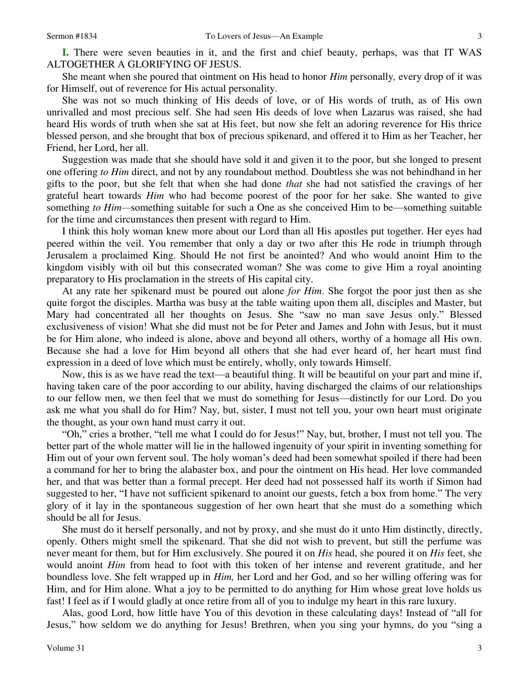**I.** There were seven beauties in it, and the first and chief beauty, perhaps, was that IT WAS ALTOGETHER A GLORIFYING OF JESUS.

 She meant when she poured that ointment on His head to honor *Him* personally*,* every drop of it was for Himself, out of reverence for His actual personality.

 She was not so much thinking of His deeds of love, or of His words of truth, as of His own unrivalled and most precious self. She had seen His deeds of love when Lazarus was raised, she had heard His words of truth when she sat at His feet, but now she felt an adoring reverence for His thrice blessed person, and she brought that box of precious spikenard, and offered it to Him as her Teacher, her Friend, her Lord, her all.

 Suggestion was made that she should have sold it and given it to the poor, but she longed to present one offering *to Him* direct, and not by any roundabout method. Doubtless she was not behindhand in her gifts to the poor, but she felt that when she had done *that* she had not satisfied the cravings of her grateful heart towards *Him* who had become poorest of the poor for her sake. She wanted to give something *to Him—*something suitable for such a One as she conceived Him to be—something suitable for the time and circumstances then present with regard to Him.

 I think this holy woman knew more about our Lord than all His apostles put together. Her eyes had peered within the veil. You remember that only a day or two after this He rode in triumph through Jerusalem a proclaimed King. Should He not first be anointed? And who would anoint Him to the kingdom visibly with oil but this consecrated woman? She was come to give Him a royal anointing preparatory to His proclamation in the streets of His capital city.

 At any rate her spikenard must be poured out alone *for Him*. She forgot the poor just then as she quite forgot the disciples. Martha was busy at the table waiting upon them all, disciples and Master, but Mary had concentrated all her thoughts on Jesus. She "saw no man save Jesus only." Blessed exclusiveness of vision! What she did must not be for Peter and James and John with Jesus, but it must be for Him alone, who indeed is alone, above and beyond all others, worthy of a homage all His own. Because she had a love for Him beyond all others that she had ever heard of, her heart must find expression in a deed of love which must be entirely, wholly, only towards Himself.

 Now, this is as we have read the text—a beautiful thing. It will be beautiful on your part and mine if, having taken care of the poor according to our ability, having discharged the claims of our relationships to our fellow men, we then feel that we must do something for Jesus—distinctly for our Lord. Do you ask me what you shall do for Him? Nay, but, sister, I must not tell you, your own heart must originate the thought, as your own hand must carry it out.

"Oh," cries a brother, "tell me what I could do for Jesus!" Nay, but, brother, I must not tell you. The better part of the whole matter will lie in the hallowed ingenuity of your spirit in inventing something for Him out of your own fervent soul. The holy woman's deed had been somewhat spoiled if there had been a command for her to bring the alabaster box, and pour the ointment on His head. Her love commanded her, and that was better than a formal precept. Her deed had not possessed half its worth if Simon had suggested to her, "I have not sufficient spikenard to anoint our guests, fetch a box from home." The very glory of it lay in the spontaneous suggestion of her own heart that she must do a something which should be all for Jesus.

 She must do it herself personally, and not by proxy, and she must do it unto Him distinctly, directly, openly. Others might smell the spikenard. That she did not wish to prevent, but still the perfume was never meant for them, but for Him exclusively. She poured it on *His* head, she poured it on *His* feet, she would anoint *Him* from head to foot with this token of her intense and reverent gratitude, and her boundless love. She felt wrapped up in *Him,* her Lord and her God, and so her willing offering was for Him, and for Him alone. What a joy to be permitted to do anything for Him whose great love holds us fast! I feel as if I would gladly at once retire from all of you to indulge my heart in this rare luxury.

 Alas, good Lord, how little have You of this devotion in these calculating days! Instead of "all for Jesus," how seldom we do anything for Jesus! Brethren, when you sing your hymns, do you "sing a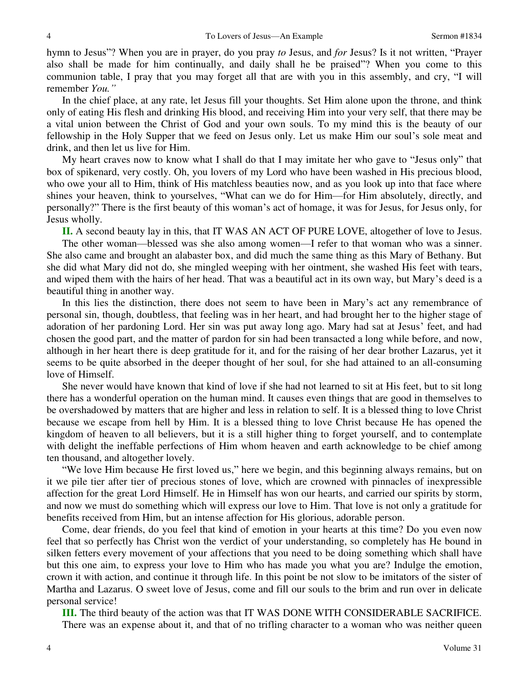hymn to Jesus"? When you are in prayer, do you pray *to* Jesus, and *for* Jesus? Is it not written, "Prayer also shall be made for him continually, and daily shall he be praised"? When you come to this communion table, I pray that you may forget all that are with you in this assembly, and cry, "I will remember *You."*

 In the chief place, at any rate, let Jesus fill your thoughts. Set Him alone upon the throne, and think only of eating His flesh and drinking His blood, and receiving Him into your very self, that there may be a vital union between the Christ of God and your own souls. To my mind this is the beauty of our fellowship in the Holy Supper that we feed on Jesus only. Let us make Him our soul's sole meat and drink, and then let us live for Him.

 My heart craves now to know what I shall do that I may imitate her who gave to "Jesus only" that box of spikenard, very costly. Oh, you lovers of my Lord who have been washed in His precious blood, who owe your all to Him, think of His matchless beauties now, and as you look up into that face where shines your heaven, think to yourselves, "What can we do for Him—for Him absolutely, directly, and personally?" There is the first beauty of this woman's act of homage, it was for Jesus, for Jesus only, for Jesus wholly.

**II.** A second beauty lay in this, that IT WAS AN ACT OF PURE LOVE, altogether of love to Jesus. The other woman—blessed was she also among women—I refer to that woman who was a sinner. She also came and brought an alabaster box, and did much the same thing as this Mary of Bethany. But she did what Mary did not do, she mingled weeping with her ointment, she washed His feet with tears, and wiped them with the hairs of her head. That was a beautiful act in its own way, but Mary's deed is a beautiful thing in another way.

 In this lies the distinction, there does not seem to have been in Mary's act any remembrance of personal sin, though, doubtless, that feeling was in her heart, and had brought her to the higher stage of adoration of her pardoning Lord. Her sin was put away long ago. Mary had sat at Jesus' feet, and had chosen the good part, and the matter of pardon for sin had been transacted a long while before, and now, although in her heart there is deep gratitude for it, and for the raising of her dear brother Lazarus, yet it seems to be quite absorbed in the deeper thought of her soul, for she had attained to an all-consuming love of Himself.

 She never would have known that kind of love if she had not learned to sit at His feet, but to sit long there has a wonderful operation on the human mind. It causes even things that are good in themselves to be overshadowed by matters that are higher and less in relation to self. It is a blessed thing to love Christ because we escape from hell by Him. It is a blessed thing to love Christ because He has opened the kingdom of heaven to all believers, but it is a still higher thing to forget yourself, and to contemplate with delight the ineffable perfections of Him whom heaven and earth acknowledge to be chief among ten thousand, and altogether lovely.

"We love Him because He first loved us," here we begin, and this beginning always remains, but on it we pile tier after tier of precious stones of love, which are crowned with pinnacles of inexpressible affection for the great Lord Himself. He in Himself has won our hearts, and carried our spirits by storm, and now we must do something which will express our love to Him. That love is not only a gratitude for benefits received from Him, but an intense affection for His glorious, adorable person.

 Come, dear friends, do you feel that kind of emotion in your hearts at this time? Do you even now feel that so perfectly has Christ won the verdict of your understanding, so completely has He bound in silken fetters every movement of your affections that you need to be doing something which shall have but this one aim, to express your love to Him who has made you what you are? Indulge the emotion, crown it with action, and continue it through life. In this point be not slow to be imitators of the sister of Martha and Lazarus. O sweet love of Jesus, come and fill our souls to the brim and run over in delicate personal service!

**III.** The third beauty of the action was that IT WAS DONE WITH CONSIDERABLE SACRIFICE. There was an expense about it, and that of no trifling character to a woman who was neither queen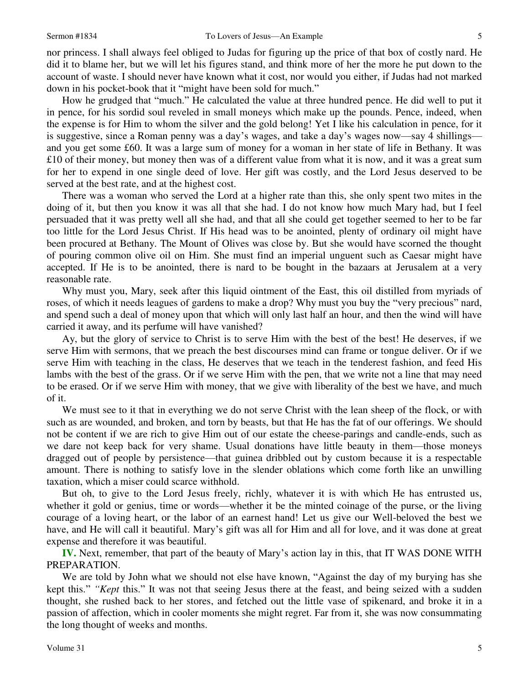nor princess. I shall always feel obliged to Judas for figuring up the price of that box of costly nard. He did it to blame her, but we will let his figures stand, and think more of her the more he put down to the account of waste. I should never have known what it cost, nor would you either, if Judas had not marked down in his pocket-book that it "might have been sold for much."

 How he grudged that "much." He calculated the value at three hundred pence. He did well to put it in pence, for his sordid soul reveled in small moneys which make up the pounds. Pence, indeed, when the expense is for Him to whom the silver and the gold belong! Yet I like his calculation in pence, for it is suggestive, since a Roman penny was a day's wages, and take a day's wages now—say 4 shillings and you get some £60. It was a large sum of money for a woman in her state of life in Bethany. It was £10 of their money, but money then was of a different value from what it is now, and it was a great sum for her to expend in one single deed of love. Her gift was costly, and the Lord Jesus deserved to be served at the best rate, and at the highest cost.

 There was a woman who served the Lord at a higher rate than this, she only spent two mites in the doing of it, but then you know it was all that she had. I do not know how much Mary had, but I feel persuaded that it was pretty well all she had, and that all she could get together seemed to her to be far too little for the Lord Jesus Christ. If His head was to be anointed, plenty of ordinary oil might have been procured at Bethany. The Mount of Olives was close by. But she would have scorned the thought of pouring common olive oil on Him. She must find an imperial unguent such as Caesar might have accepted. If He is to be anointed, there is nard to be bought in the bazaars at Jerusalem at a very reasonable rate.

 Why must you, Mary, seek after this liquid ointment of the East, this oil distilled from myriads of roses, of which it needs leagues of gardens to make a drop? Why must you buy the "very precious" nard, and spend such a deal of money upon that which will only last half an hour, and then the wind will have carried it away, and its perfume will have vanished?

Ay, but the glory of service to Christ is to serve Him with the best of the best! He deserves, if we serve Him with sermons, that we preach the best discourses mind can frame or tongue deliver. Or if we serve Him with teaching in the class, He deserves that we teach in the tenderest fashion, and feed His lambs with the best of the grass. Or if we serve Him with the pen, that we write not a line that may need to be erased. Or if we serve Him with money, that we give with liberality of the best we have, and much of it.

 We must see to it that in everything we do not serve Christ with the lean sheep of the flock, or with such as are wounded, and broken, and torn by beasts, but that He has the fat of our offerings. We should not be content if we are rich to give Him out of our estate the cheese-parings and candle-ends, such as we dare not keep back for very shame. Usual donations have little beauty in them—those moneys dragged out of people by persistence—that guinea dribbled out by custom because it is a respectable amount. There is nothing to satisfy love in the slender oblations which come forth like an unwilling taxation, which a miser could scarce withhold.

 But oh, to give to the Lord Jesus freely, richly, whatever it is with which He has entrusted us, whether it gold or genius, time or words—whether it be the minted coinage of the purse, or the living courage of a loving heart, or the labor of an earnest hand! Let us give our Well-beloved the best we have, and He will call it beautiful. Mary's gift was all for Him and all for love, and it was done at great expense and therefore it was beautiful.

**IV.** Next, remember, that part of the beauty of Mary's action lay in this, that IT WAS DONE WITH PREPARATION.

 We are told by John what we should not else have known, "Against the day of my burying has she kept this." *"Kept* this." It was not that seeing Jesus there at the feast, and being seized with a sudden thought, she rushed back to her stores, and fetched out the little vase of spikenard, and broke it in a passion of affection, which in cooler moments she might regret. Far from it, she was now consummating the long thought of weeks and months.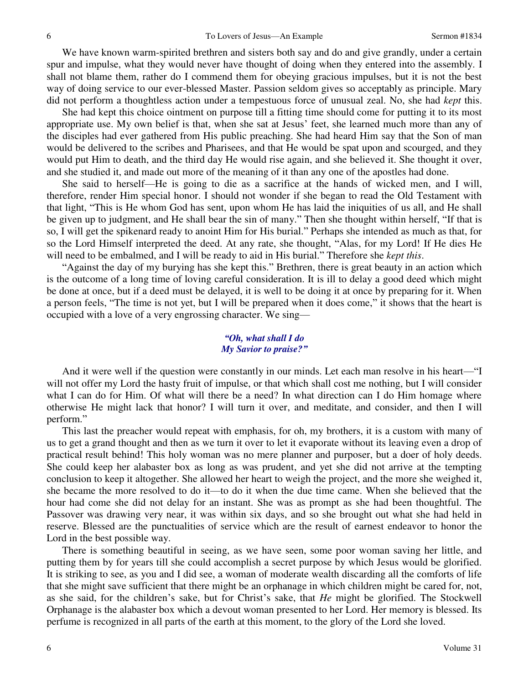We have known warm-spirited brethren and sisters both say and do and give grandly, under a certain spur and impulse, what they would never have thought of doing when they entered into the assembly. I shall not blame them, rather do I commend them for obeying gracious impulses, but it is not the best way of doing service to our ever-blessed Master. Passion seldom gives so acceptably as principle. Mary did not perform a thoughtless action under a tempestuous force of unusual zeal. No, she had *kept* this.

 She had kept this choice ointment on purpose till a fitting time should come for putting it to its most appropriate use. My own belief is that, when she sat at Jesus' feet, she learned much more than any of the disciples had ever gathered from His public preaching. She had heard Him say that the Son of man would be delivered to the scribes and Pharisees, and that He would be spat upon and scourged, and they would put Him to death, and the third day He would rise again, and she believed it. She thought it over, and she studied it, and made out more of the meaning of it than any one of the apostles had done.

 She said to herself—He is going to die as a sacrifice at the hands of wicked men, and I will, therefore, render Him special honor. I should not wonder if she began to read the Old Testament with that light, "This is He whom God has sent, upon whom He has laid the iniquities of us all, and He shall be given up to judgment, and He shall bear the sin of many." Then she thought within herself, "If that is so, I will get the spikenard ready to anoint Him for His burial." Perhaps she intended as much as that, for so the Lord Himself interpreted the deed. At any rate, she thought, "Alas, for my Lord! If He dies He will need to be embalmed, and I will be ready to aid in His burial." Therefore she *kept this*.

"Against the day of my burying has she kept this." Brethren, there is great beauty in an action which is the outcome of a long time of loving careful consideration. It is ill to delay a good deed which might be done at once, but if a deed must be delayed, it is well to be doing it at once by preparing for it. When a person feels, "The time is not yet, but I will be prepared when it does come," it shows that the heart is occupied with a love of a very engrossing character. We sing—

#### *"Oh, what shall I do My Savior to praise?"*

 And it were well if the question were constantly in our minds. Let each man resolve in his heart—"I will not offer my Lord the hasty fruit of impulse, or that which shall cost me nothing, but I will consider what I can do for Him. Of what will there be a need? In what direction can I do Him homage where otherwise He might lack that honor? I will turn it over, and meditate, and consider, and then I will perform."

 This last the preacher would repeat with emphasis, for oh, my brothers, it is a custom with many of us to get a grand thought and then as we turn it over to let it evaporate without its leaving even a drop of practical result behind! This holy woman was no mere planner and purposer, but a doer of holy deeds. She could keep her alabaster box as long as was prudent, and yet she did not arrive at the tempting conclusion to keep it altogether. She allowed her heart to weigh the project, and the more she weighed it, she became the more resolved to do it—to do it when the due time came. When she believed that the hour had come she did not delay for an instant. She was as prompt as she had been thoughtful. The Passover was drawing very near, it was within six days, and so she brought out what she had held in reserve. Blessed are the punctualities of service which are the result of earnest endeavor to honor the Lord in the best possible way.

 There is something beautiful in seeing, as we have seen, some poor woman saving her little, and putting them by for years till she could accomplish a secret purpose by which Jesus would be glorified. It is striking to see, as you and I did see, a woman of moderate wealth discarding all the comforts of life that she might save sufficient that there might be an orphanage in which children might be cared for, not, as she said, for the children's sake, but for Christ's sake, that *He* might be glorified. The Stockwell Orphanage is the alabaster box which a devout woman presented to her Lord. Her memory is blessed. Its perfume is recognized in all parts of the earth at this moment, to the glory of the Lord she loved.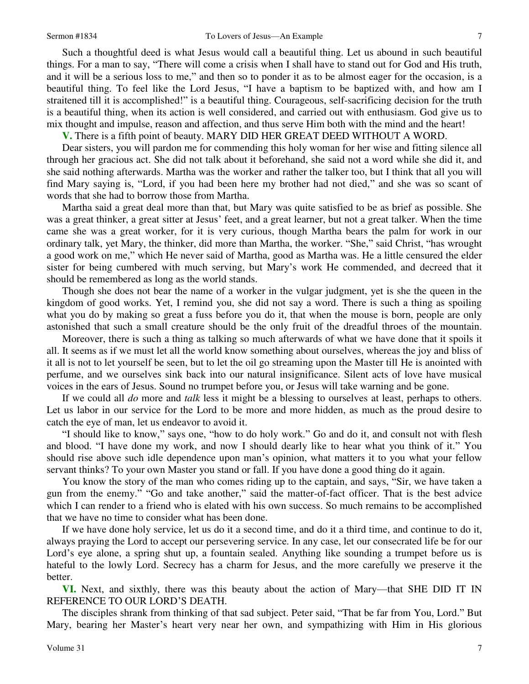Such a thoughtful deed is what Jesus would call a beautiful thing. Let us abound in such beautiful things. For a man to say, "There will come a crisis when I shall have to stand out for God and His truth, and it will be a serious loss to me," and then so to ponder it as to be almost eager for the occasion, is a beautiful thing. To feel like the Lord Jesus, "I have a baptism to be baptized with, and how am I straitened till it is accomplished!" is a beautiful thing. Courageous, self-sacrificing decision for the truth is a beautiful thing, when its action is well considered, and carried out with enthusiasm. God give us to mix thought and impulse, reason and affection, and thus serve Him both with the mind and the heart!

**V.** There is a fifth point of beauty. MARY DID HER GREAT DEED WITHOUT A WORD.

 Dear sisters, you will pardon me for commending this holy woman for her wise and fitting silence all through her gracious act. She did not talk about it beforehand, she said not a word while she did it, and she said nothing afterwards. Martha was the worker and rather the talker too, but I think that all you will find Mary saying is, "Lord, if you had been here my brother had not died," and she was so scant of words that she had to borrow those from Martha.

 Martha said a great deal more than that, but Mary was quite satisfied to be as brief as possible. She was a great thinker, a great sitter at Jesus' feet, and a great learner, but not a great talker. When the time came she was a great worker, for it is very curious, though Martha bears the palm for work in our ordinary talk, yet Mary, the thinker, did more than Martha, the worker. "She," said Christ, "has wrought a good work on me," which He never said of Martha, good as Martha was. He a little censured the elder sister for being cumbered with much serving, but Mary's work He commended, and decreed that it should be remembered as long as the world stands.

 Though she does not bear the name of a worker in the vulgar judgment, yet is she the queen in the kingdom of good works. Yet, I remind you, she did not say a word. There is such a thing as spoiling what you do by making so great a fuss before you do it, that when the mouse is born, people are only astonished that such a small creature should be the only fruit of the dreadful throes of the mountain.

 Moreover, there is such a thing as talking so much afterwards of what we have done that it spoils it all. It seems as if we must let all the world know something about ourselves, whereas the joy and bliss of it all is not to let yourself be seen, but to let the oil go streaming upon the Master till He is anointed with perfume, and we ourselves sink back into our natural insignificance. Silent acts of love have musical voices in the ears of Jesus. Sound no trumpet before you, or Jesus will take warning and be gone.

 If we could all *do* more and *talk* less it might be a blessing to ourselves at least, perhaps to others. Let us labor in our service for the Lord to be more and more hidden, as much as the proud desire to catch the eye of man, let us endeavor to avoid it.

"I should like to know," says one, "how to do holy work." Go and do it, and consult not with flesh and blood. "I have done my work, and now I should dearly like to hear what you think of it." You should rise above such idle dependence upon man's opinion, what matters it to you what your fellow servant thinks? To your own Master you stand or fall. If you have done a good thing do it again.

 You know the story of the man who comes riding up to the captain, and says, "Sir, we have taken a gun from the enemy." "Go and take another," said the matter-of-fact officer. That is the best advice which I can render to a friend who is elated with his own success. So much remains to be accomplished that we have no time to consider what has been done.

 If we have done holy service, let us do it a second time, and do it a third time, and continue to do it, always praying the Lord to accept our persevering service. In any case, let our consecrated life be for our Lord's eye alone, a spring shut up, a fountain sealed. Anything like sounding a trumpet before us is hateful to the lowly Lord. Secrecy has a charm for Jesus, and the more carefully we preserve it the better.

**VI.** Next, and sixthly, there was this beauty about the action of Mary—that SHE DID IT IN REFERENCE TO OUR LORD'S DEATH.

 The disciples shrank from thinking of that sad subject. Peter said, "That be far from You, Lord." But Mary, bearing her Master's heart very near her own, and sympathizing with Him in His glorious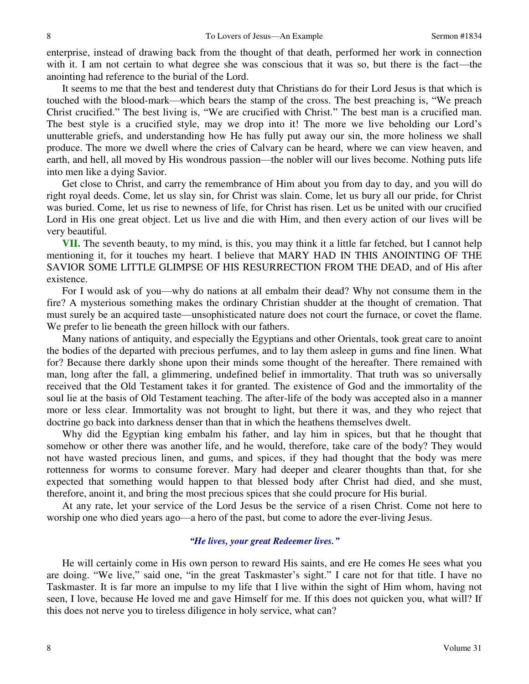enterprise, instead of drawing back from the thought of that death, performed her work in connection with it. I am not certain to what degree she was conscious that it was so, but there is the fact—the anointing had reference to the burial of the Lord.

 It seems to me that the best and tenderest duty that Christians do for their Lord Jesus is that which is touched with the blood-mark—which bears the stamp of the cross. The best preaching is, "We preach Christ crucified." The best living is, "We are crucified with Christ." The best man is a crucified man. The best style is a crucified style, may we drop into it! The more we live beholding our Lord's unutterable griefs, and understanding how He has fully put away our sin, the more holiness we shall produce. The more we dwell where the cries of Calvary can be heard, where we can view heaven, and earth, and hell, all moved by His wondrous passion—the nobler will our lives become. Nothing puts life into men like a dying Savior.

 Get close to Christ, and carry the remembrance of Him about you from day to day, and you will do right royal deeds. Come, let us slay sin, for Christ was slain. Come, let us bury all our pride, for Christ was buried. Come, let us rise to newness of life, for Christ has risen. Let us be united with our crucified Lord in His one great object. Let us live and die with Him, and then every action of our lives will be very beautiful.

**VII.** The seventh beauty, to my mind, is this, you may think it a little far fetched, but I cannot help mentioning it, for it touches my heart. I believe that MARY HAD IN THIS ANOINTING OF THE SAVIOR SOME LITTLE GLIMPSE OF HIS RESURRECTION FROM THE DEAD, and of His after existence.

 For I would ask of you—why do nations at all embalm their dead? Why not consume them in the fire? A mysterious something makes the ordinary Christian shudder at the thought of cremation. That must surely be an acquired taste—unsophisticated nature does not court the furnace, or covet the flame. We prefer to lie beneath the green hillock with our fathers.

 Many nations of antiquity, and especially the Egyptians and other Orientals, took great care to anoint the bodies of the departed with precious perfumes, and to lay them asleep in gums and fine linen. What for? Because there darkly shone upon their minds some thought of the hereafter. There remained with man, long after the fall, a glimmering, undefined belief in immortality. That truth was so universally received that the Old Testament takes it for granted. The existence of God and the immortality of the soul lie at the basis of Old Testament teaching. The after-life of the body was accepted also in a manner more or less clear. Immortality was not brought to light, but there it was, and they who reject that doctrine go back into darkness denser than that in which the heathens themselves dwelt.

 Why did the Egyptian king embalm his father, and lay him in spices, but that he thought that somehow or other there was another life, and he would, therefore, take care of the body? They would not have wasted precious linen, and gums, and spices, if they had thought that the body was mere rottenness for worms to consume forever. Mary had deeper and clearer thoughts than that, for she expected that something would happen to that blessed body after Christ had died, and she must, therefore, anoint it, and bring the most precious spices that she could procure for His burial.

 At any rate, let your service of the Lord Jesus be the service of a risen Christ. Come not here to worship one who died years ago—a hero of the past, but come to adore the ever-living Jesus.

#### *"He lives, your great Redeemer lives."*

 He will certainly come in His own person to reward His saints, and ere He comes He sees what you are doing. "We live," said one, "in the great Taskmaster's sight." I care not for that title. I have no Taskmaster. It is far more an impulse to my life that I live within the sight of Him whom, having not seen, I love, because He loved me and gave Himself for me. If this does not quicken you, what will? If this does not nerve you to tireless diligence in holy service, what can?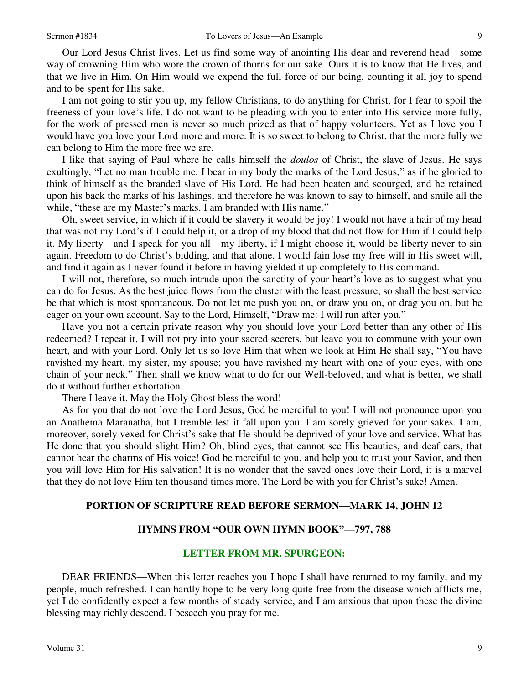Our Lord Jesus Christ lives. Let us find some way of anointing His dear and reverend head—some way of crowning Him who wore the crown of thorns for our sake. Ours it is to know that He lives, and that we live in Him. On Him would we expend the full force of our being, counting it all joy to spend and to be spent for His sake.

 I am not going to stir you up, my fellow Christians, to do anything for Christ, for I fear to spoil the freeness of your love's life. I do not want to be pleading with you to enter into His service more fully, for the work of pressed men is never so much prized as that of happy volunteers. Yet as I love you I would have you love your Lord more and more. It is so sweet to belong to Christ, that the more fully we can belong to Him the more free we are.

 I like that saying of Paul where he calls himself the *doulos* of Christ, the slave of Jesus. He says exultingly, "Let no man trouble me. I bear in my body the marks of the Lord Jesus," as if he gloried to think of himself as the branded slave of His Lord. He had been beaten and scourged, and he retained upon his back the marks of his lashings, and therefore he was known to say to himself, and smile all the while, "these are my Master's marks. I am branded with His name."

 Oh, sweet service, in which if it could be slavery it would be joy! I would not have a hair of my head that was not my Lord's if I could help it, or a drop of my blood that did not flow for Him if I could help it. My liberty—and I speak for you all—my liberty, if I might choose it, would be liberty never to sin again. Freedom to do Christ's bidding, and that alone. I would fain lose my free will in His sweet will, and find it again as I never found it before in having yielded it up completely to His command.

 I will not, therefore, so much intrude upon the sanctity of your heart's love as to suggest what you can do for Jesus. As the best juice flows from the cluster with the least pressure, so shall the best service be that which is most spontaneous. Do not let me push you on, or draw you on, or drag you on, but be eager on your own account. Say to the Lord, Himself, "Draw me: I will run after you."

 Have you not a certain private reason why you should love your Lord better than any other of His redeemed? I repeat it, I will not pry into your sacred secrets, but leave you to commune with your own heart, and with your Lord. Only let us so love Him that when we look at Him He shall say, "You have ravished my heart, my sister, my spouse; you have ravished my heart with one of your eyes, with one chain of your neck." Then shall we know what to do for our Well-beloved, and what is better, we shall do it without further exhortation.

There I leave it. May the Holy Ghost bless the word!

 As for you that do not love the Lord Jesus, God be merciful to you! I will not pronounce upon you an Anathema Maranatha, but I tremble lest it fall upon you. I am sorely grieved for your sakes. I am, moreover, sorely vexed for Christ's sake that He should be deprived of your love and service. What has He done that you should slight Him? Oh, blind eyes, that cannot see His beauties, and deaf ears, that cannot hear the charms of His voice! God be merciful to you, and help you to trust your Savior, and then you will love Him for His salvation! It is no wonder that the saved ones love their Lord, it is a marvel that they do not love Him ten thousand times more. The Lord be with you for Christ's sake! Amen.

### **PORTION OF SCRIPTURE READ BEFORE SERMON—MARK 14, JOHN 12**

#### **HYMNS FROM "OUR OWN HYMN BOOK"—797, 788**

#### **LETTER FROM MR. SPURGEON:**

 DEAR FRIENDS—When this letter reaches you I hope I shall have returned to my family, and my people, much refreshed. I can hardly hope to be very long quite free from the disease which afflicts me, yet I do confidently expect a few months of steady service, and I am anxious that upon these the divine blessing may richly descend. I beseech you pray for me.